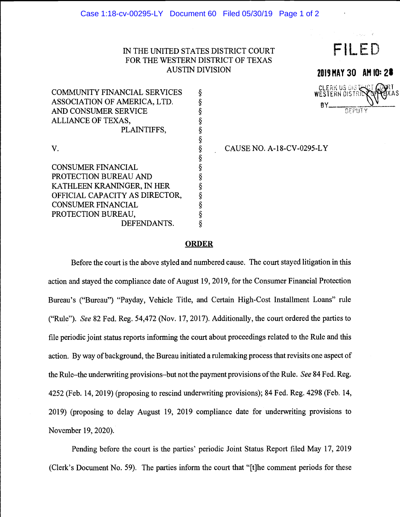## IN THE UNITED STATES DISTRICT COURT FOR THE WESTERN DISTRICT OF TEXAS AUSTIN DIVISION

| <b>COMMUNITY FINANCIAL SERVICES</b> | § |  |
|-------------------------------------|---|--|
| ASSOCIATION OF AMERICA, LTD.        | § |  |
| AND CONSUMER SERVICE                | § |  |
| ALLIANCE OF TEXAS,                  | ş |  |
| PLAINTIFFS,                         | § |  |
|                                     | § |  |
| V.                                  | § |  |
|                                     | § |  |
| <b>CONSUMER FINANCIAL</b>           | § |  |
| PROTECTION BUREAU AND               | ş |  |
| KATHLEEN KRANINGER, IN HER          | § |  |
| OFFICIAL CAPACITY AS DIRECTOR,      | ş |  |
| <b>CONSUMER FINANCIAL</b>           | § |  |
| PROTECTION BUREAU,                  |   |  |
| DEFENDANTS.                         |   |  |

CAUSE NO. A-18-CV-0295-LY

FILED

2019 MAY 30 AM 10: 28

**DEPUT** 

CLERK US OISTER

## **ORDER**

Before the court is the above styled and numbered cause. The court stayed litigation in this action and stayed the compliance date of August 19, 2019, for the Consumer Financial Protection Bureau's ("Bureau") "Payday, Vehicle Title, and Certain High-Cost Installment Loans" rule ("Rule"). See 82 Fed. Reg. 54,472 (Nov. 17, 2017). Additionally, the court ordered the parties to file periodic joint status reports informing the court about proceedings related to the Rule and this action. By way of background, the Bureau initiated a rulemaking process that revisits one aspect of the Rule-the underwriting provisions-but not the payment provisions of the Rule. See 84 Fed. Reg. 4252 (Feb. 14, 2019) (proposing to rescind underwriting provisions); 84 Fed. Reg. 4298 (Feb. 14, 2019) (proposing to delay August 19, 2019 compliance date for underwriting provisions to November 19, 2020).

Pending before the court is the parties' periodic Joint Status Report filed May 17, 2019 (Clerk's Document No. 59). The parties inform the court that "{t]he comment periods for these